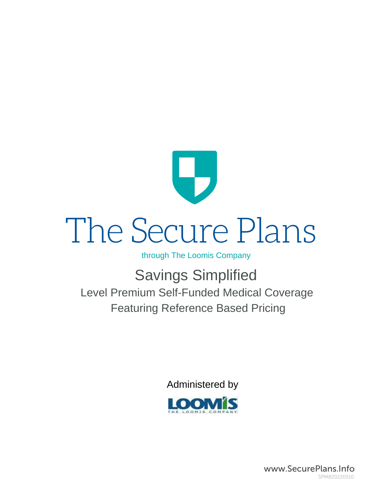

### through The Loomis Company

# Savings Simplified

Level Premium Self-Funded Medical Coverage Featuring Reference Based Pricing

Administered by



www.SecurePlans.Info SPMB20220510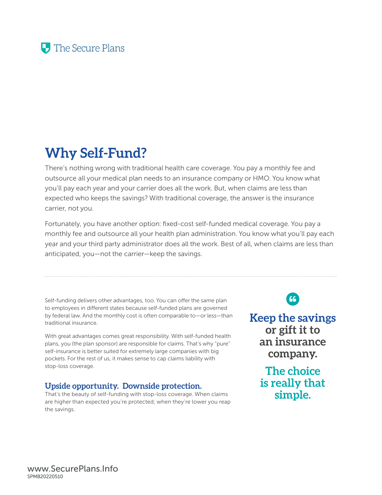# **Why Self-Fund?**

There's nothing wrong with traditional health care coverage. You pay a monthly fee and outsource all your medical plan needs to an insurance company or HMO. You know what you'll pay each year and your carrier does all the work. But, when claims are less than expected who keeps the savings? With traditional coverage, the answer is the insurance carrier, not you.

Fortunately, you have another option: fixed-cost self-funded medical coverage. You pay a monthly fee and outsource all your health plan administration. You know what you'll pay each year and your third party administrator does all the work. Best of all, when claims are less than anticipated, you—not the carrier—keep the savings.

Self-funding delivers other advantages, too. You can offer the same plan to employees in different states because self-funded plans are governed by federal law. And the monthly cost is often comparable to—or less—than traditional insurance.

With great advantages comes great responsibility. With self-funded health plans, you (the plan sponsor) are responsible for claims. That's why "pure" self-insurance is better suited for extremely large companies with big pockets. For the rest of us, it makes sense to cap claims liability with stop-loss coverage.

### **Upside opportunity. Downside protection.**

That's the beauty of self-funding with stop-loss coverage. When claims are higher than expected you're protected; when they're lower you reap the savings.

66

**Keep the savings or gift it to an insurance company.** 

> **The choice is really that simple.**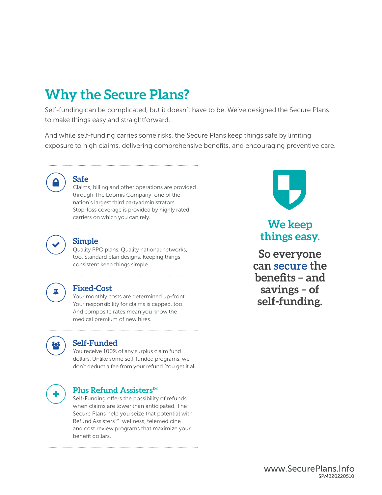# **Why the Secure Plans?**

Self-funding can be complicated, but it doesn't have to be. We've designed the Secure Plans to make things easy and straightforward.

And while self-funding carries some risks, the Secure Plans keep things safe by limiting exposure to high claims, delivering comprehensive benefits, and encouraging preventive care.



### **Safe**

Claims, billing and other operations are provided through The Loomis Company, one of the nation's largest third partyadministrators. Stop-loss coverage is provided by highly rated carriers on which you can rely.



### **Simple**

Quality PPO plans. Quality national networks, too. Standard plan designs. Keeping things consistent keep things simple.



### **Fixed-Cost**

Your monthly costs are determined up-front. Your responsibility for claims is capped, too. And composite rates mean you know the medical premium of new hires.



### **Self-Funded**

You receive 100% of any surplus claim fund dollars. Unlike some self-funded programs, we don't deduct a fee from your refund. You get it all.



### **Plus Refund Assisters**SM

Self-Funding offers the possibility of refunds when claims are lower than anticipated. The Secure Plans help you seize that potential with Refund Assisters<sup>SM</sup>: wellness, telemedicine and cost review programs that maximize your benefit dollars.



### **We keep things easy.**

**So everyone can secure the benefits – and savings – of self-funding.**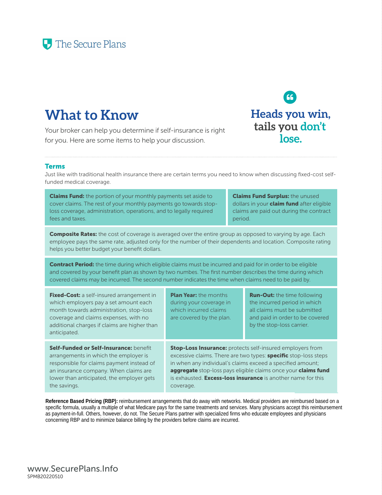# **What to Know**

Your broker can help you determine if self-insurance is right for you. Here are some items to help your discussion.

### Terms

Just like with traditional health insurance there are certain terms you need to know when discussing fixed-cost selffunded medical coverage.

**Claims Fund:** the portion of your monthly payments set aside to cover claims. The rest of your monthly payments go towards stoploss coverage, administration, operations, and to legally required fees and taxes.

**Claims Fund Surplus: the unused** dollars in your **claim fund** after eligible claims are paid out during the contract period.

Composite Rates: the cost of coverage is averaged over the entire group as opposed to varying by age. Each employee pays the same rate, adjusted only for the number of their dependents and location. Composite rating helps you better budget your benefit dollars.

Contract Period: the time during which eligible claims must be incurred and paid for in order to be eligible and covered by your benefit plan as shown by two numbes. The first number describes the time during which covered claims may be incurred. The second number indicates the time when claims need to be paid by.

Fixed-Cost: a self-insured arrangement in which employers pay a set amount each month towards administration, stop-loss coverage and claims expenses, with no additional charges if claims are higher than anticipated.

Self-Funded or Self-Insurance: benefit arrangements in which the employer is responsible for claims payment instead of an insurance company. When claims are lower than anticipated, the employer gets the savings.

**Plan Year:** the months during your coverage in which incurred claims are covered by the plan.

**Run-Out:** the time following the incurred period in which all claims must be submitted and paid in order to be covered by the stop-loss carrier.

**Stop-Loss Insurance:** protects self-insured employers from excessive claims. There are two types: **specific** stop-loss steps in when any individual's claims exceed a specified amount; aggregate stop-loss pays eligible claims once your claims fund is exhausted. **Excess-loss insurance** is another name for this coverage.

**Reference Based Pricing (RBP):** reimbursement arrangements that do away with networks. Medical providers are reimbursed based on a specific formula, usually a multiple of what Medicare pays for the same treatments and services. Many physicians accept this reimbursement as payment-in-full. Others, however, do not. The Secure Plans partner with specialized firms who educate employees and physicians concerning RBP and to minimize balance billing by the providers before claims are incurred.

**Heads you win, tails you don't lose.**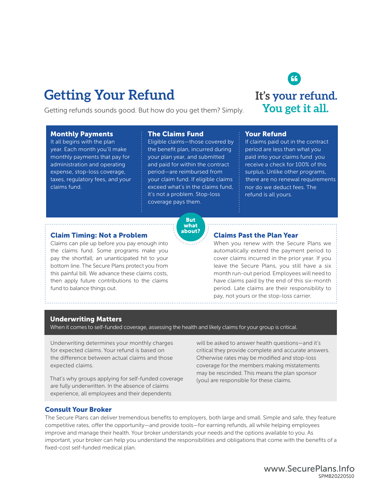# **Getting Your Refund**

Getting refunds sounds good. But how do you get them? Simply.

### Monthly Payments

It all begins with the plan year. Each month you'll make monthly payments that pay for administration and operating expense, stop-loss coverage, taxes, regulatory fees, and your claims fund.

### The Claims Fund

Eligible claims—those covered by the benefit plan, incurred during your plan year, and submitted and paid for within the contract period—are reimbursed from your claim fund. If eligible claims exceed what's in the claims fund, it's not a problem. Stop-loss coverage pays them.

### Your Refund

If claims paid out in the contract period are less than what you paid into your claims fund you receive a check for 100% of this surplus. Unlike other programs, nor do we deduct fees. The refund is all yours. there are no renewal requirements

### Claim Timing: Not a Problem

Claims can pile up before you pay enough into the claims fund. Some programs make you pay the shortfall; an unanticipated hit to your bottom line. The Secure Plans protect you from this painful bill. We advance these claims costs, then apply future contributions to the claims fund to balance things out.

### Claims Past the Plan Year

When you renew with the Secure Plans we automatically extend the payment period to cover claims incurred in the prior year. If you leave the Secure Plans, you still have a six month run-out period. Employees will need to have claims paid by the end of this six-month period. Late claims are their responsibility to pay, not yours or the stop-loss carrier.

### Underwriting Matters

When it comes to self-funded coverage, assessing the health and likely claims for your group is critical.

Underwriting determines your monthly charges for expected claims. Your refund is based on the difference between actual claims and those expected claims.

That's why groups applying for self-funded coverage are fully underwritten. In the absence of claims experience, all employees and their dependents

will be asked to answer health questions—and it's critical they provide complete and accurate answers. Otherwise rates may be modified and stop-loss coverage for the members making mistatements may be rescinded. This means the plan sponsor (you) are responsible for these claims.

### Consult Your Broker

The Secure Plans can deliver tremendous benefits to employers, both large and small. Simple and safe, they feature competitive rates, offer the opportunity—and provide tools—for earning refunds, all while helping employees improve and manage their health. Your broker understands your needs and the options available to you. As important, your broker can help you understand the responsibilities and obligations that come with the benefits of a fixed-cost self-funded medical plan.





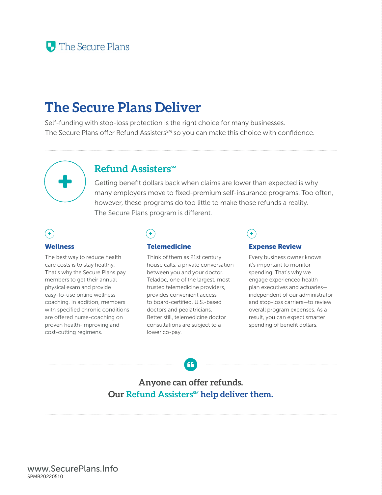# **The Secure Plans Deliver**

Self-funding with stop-loss protection is the right choice for many businesses. The Secure Plans offer Refund Assisters<sup>SM</sup> so you can make this choice with confidence.



### Refund Assisters<sup>SM</sup>

Getting benefit dollars back when claims are lower than expected is why many employers move to fixed-premium self-insurance programs. Too often, however, these programs do too little to make those refunds a reality. The Secure Plans program is different.

### Wellness

The best way to reduce health care costs is to stay healthy. That's why the Secure Plans pay members to get their annual physical exam and provide easy-to-use online wellness coaching. In addition, members with specified chronic conditions are offered nurse-coaching on proven health-improving and cost-cutting regimens.

### $\ddot{\bullet}$

### **Telemedicine**

Think of them as 21st century house calls: a private conversation between you and your doctor. Teladoc, one of the largest, most trusted telemedicine providers, provides convenient access to board-certified, U.S.-based doctors and pediatricians. Better still, telemedicine doctor consultations are subject to a lower co-pay.

### Expense Review

Every business owner knows it's important to monitor spending. That's why we engage experienced health plan executives and actuaries independent of our administrator and stop-loss carriers—to review overall program expenses. As a result, you can expect smarter spending of benefit dollars.

### **Anyone can offer refunds.**  Our Refund Assisters<sup>M</sup> help deliver them.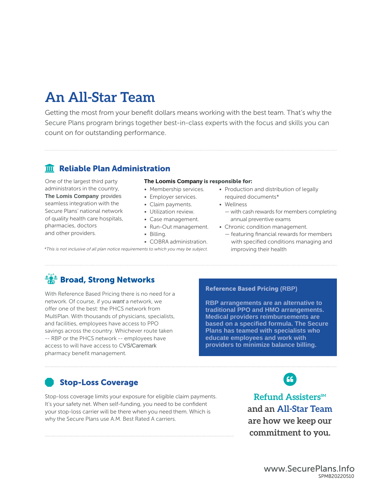# **An All-Star Team**

Getting the most from your benefit dollars means working with the best team. That's why the Secure Plans program brings together best-in-class experts with the focus and skills you can count on for outstanding performance.

### **m** Reliable Plan Administration

One of the largest third party administrators in the country, **The Lomis Company** provides seamless integration with the Secure Plans' national network of quality health care hospitals, pharmacies, doctors and other providers.

### **The Loomis Company** is responsible for:

- Membership services.
- Employer services.
- Claim payments.
- Utilization review.
- Case management.
- Run-Out management.
- Billing.
- COBRA administration.

\*This is not inclusive of all plan notice requirements to which you may be subject.

- Production and distribution of legally required documents\*
- Wellness
- with cash rewards for members completing annual preventive exams
- Chronic condition management.
	- featuring financial rewards for members with specified conditions managing and improving their health

### **Broad, Strong Networks**

pharmacy benefit management. access to will have access to CVS/Caremark -- RBP or the PHCS network -- employees have savings across the country. Whichever route taken and facilities, employees have access to PPO MultiPlan. With thousands of physicians, specialists, offer one of the best: the PHCS network from network. Of course, if you *want* a network, we With Reference Based Pricing there is no need for a

### Reference Based Pricing **(RBP)**

**providers to minimize balance billing. educate employees and work with Plans has teamed with specialists who based on a specified formula. The Secure Medical providers reimbursements are traditional PPO and HMO arrangements. RBP arrangements are an alternative to** 

### Stop-Loss Coverage

Stop-loss coverage limits your exposure for eligible claim payments. It's your safety net. When self-funding, you need to be confident your stop-loss carrier will be there when you need them. Which is why the Secure Plans use A.M. Best Rated A carriers.

Refund Assisters<sup>SM</sup> **and an All-Star Team are how we keep our commitment to you.**

66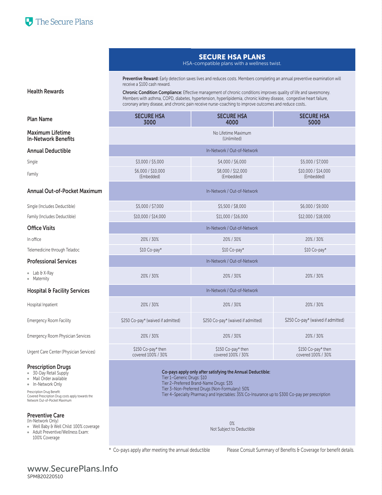

### SECURE HSA PLANS

### HSA-compatible plans with a wellness twist.

Preventive Reward: Early detection saves lives and reduces costs. Members completing an annual preventive examination will receive a \$100 cash reward.

Chronic Condition Compliance: Effective management of chronic conditions improves quality of life and savesmoney. Members with asthma, COPD, diabetes, hypertension, hyperlipidemia, chronic kidney disease, congestive heart failure, coronary artery disease, and chronic pain receive nurse-coaching to improve outcomes and reduce costs..

| <b>Plan Name</b>                                      | <b>SECURE HSA</b><br>3000                | <b>SECURE HSA</b><br>4000                | <b>SECURE HSA</b><br>5000                |  |  |  |
|-------------------------------------------------------|------------------------------------------|------------------------------------------|------------------------------------------|--|--|--|
| <b>Maximum Lifetime</b><br><b>In-Network Benefits</b> | No Lifetime Maximum<br>(Unlimited)       |                                          |                                          |  |  |  |
| <b>Annual Deductible</b>                              |                                          | In-Network / Out-of-Network              |                                          |  |  |  |
| Single                                                | \$3,000 / \$5,000                        | \$4,000 / \$6,000                        | \$5,000 / \$7,000                        |  |  |  |
| Family                                                | \$6,000 / \$10,000<br>(Embedded)         | \$8,000 / \$12,000<br>(Embedded)         | \$10,000 / \$14,000<br>(Embedded)        |  |  |  |
| Annual Out-of-Pocket Maximum                          | In-Network / Out-of-Network              |                                          |                                          |  |  |  |
| Single (Includes Deductible)                          | \$5,000 / \$7,000                        | \$5,500 / \$8,000                        | \$6,000 / \$9,000                        |  |  |  |
| Family (Includes Deductible)                          | \$10,000 / \$14,000                      | \$12,000 / \$18,000                      |                                          |  |  |  |
| <b>Office Visits</b>                                  | In-Network / Out-of-Network              |                                          |                                          |  |  |  |
| In office                                             | 20% / 30%                                | 20% / 30%                                | 20%/30%                                  |  |  |  |
| Telemedicine through Teladoc                          | \$10 Co-pay*<br>\$10 Co-pay*             |                                          | \$10 Co-pay*                             |  |  |  |
| <b>Professional Services</b>                          | In-Network / Out-of-Network              |                                          |                                          |  |  |  |
| $\bullet$ Lab & X-Ray<br>• Maternity                  | 20% / 30%<br>20%/30%                     |                                          | 20% / 30%                                |  |  |  |
| <b>Hospital &amp; Facility Services</b>               | In-Network / Out-of-Network              |                                          |                                          |  |  |  |
| Hospital Inpatient                                    | 20% / 30%<br>20%/30%                     |                                          | 20% / 30%                                |  |  |  |
| <b>Emergency Room Facility</b>                        | \$250 Co-pay* (waived if admitted)       | \$250 Co-pay* (waived if admitted)       | \$250 Co-pay* (waived if admitted)       |  |  |  |
| <b>Emergency Room Physician Services</b>              | 20% / 30%                                | 20%/30%                                  | 20% / 30%                                |  |  |  |
| Urgent Care Center (Physician Services)               | \$150 Co-pay* then<br>covered 100% / 30% | \$150 Co-pay* then<br>covered 100% / 30% | \$150 Co-pay* then<br>covered 100% / 30% |  |  |  |

Prescription Drugs • 30-Day Retail Supply

- Mail Order available
- In-Network Only
- 

Prescription Drug Benefit: Covered Prescription Drug costs apply towards the Network Out-of-Pocket Maximum

### Preventive Care

- (In-Network Only)
- Well Baby & Well Child: 100% coverage Adult Preventive/Wellness Exam:
- 100% Coverage

Co-pays apply only after satisfying the Annual Deductible:

- Tier 1–Generic Drugs: \$10
- Tier 2–Preferred Brand-Name Drugs: \$35
- Tier 3–Non-Preferred Drugs (Non-Formulary): 50%
- Tier 4–Specialty Pharmacy and Injectables: 35% Co-Insurance up to \$300 Co-pay per prescription

0% Not Subject to Deductible

\* Co-pays apply after meeting the annual deductible Please Consult Summary of Benefits & Coverage for benefit details.

### www.SecurePlans.Info SPMB20220510

Health Rewards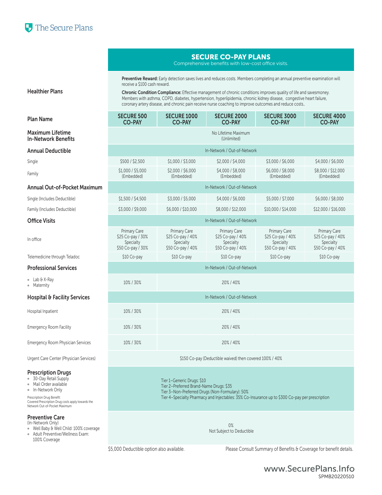

### SECURE CO-PAY PLANS

Comprehensive benefits with low-cost office visits.

Preventive Reward: Early detection saves lives and reduces costs. Members completing an annual preventive examination will receive a \$100 cash reward.

Chronic Condition Compliance: Effective management of chronic conditions improves quality of life and savesmoney. Members with asthma, COPD, diabetes, hypertension, hyperlipidemia, chronic kidney disease, congestive heart failure, coronary artery disease, and chronic pain receive nurse coaching to improve outcomes and reduce costs..

| <b>Plan Name</b>                               | <b>SECURE 500</b><br><b>CO-PAY</b>                                  | <b>SECURE 1000</b><br><b>CO-PAY</b>                                 | <b>SECURE 2000</b><br><b>CO-PAY</b>                                 | <b>SECURE 3000</b><br><b>CO-PAY</b>                                 | <b>SECURE 4000</b><br><b>CO-PAY</b>                                 |  |  |
|------------------------------------------------|---------------------------------------------------------------------|---------------------------------------------------------------------|---------------------------------------------------------------------|---------------------------------------------------------------------|---------------------------------------------------------------------|--|--|
| Maximum Lifetime<br><b>In-Network Benefits</b> | No Lifetime Maximum<br>(Unlimited)                                  |                                                                     |                                                                     |                                                                     |                                                                     |  |  |
| <b>Annual Deductible</b>                       |                                                                     |                                                                     | In-Network / Out-of-Network                                         |                                                                     |                                                                     |  |  |
| Single                                         | \$500 / \$2,500                                                     | \$1,000 / \$3,000                                                   | \$2,000 / \$4,000                                                   | \$3,000 / \$6,000                                                   | \$4,000 / \$6,000                                                   |  |  |
| Family                                         | \$1,000 / \$5,000<br>(Embedded)                                     | \$2,000 / \$6,000<br>(Embedded)                                     | \$4,000 / \$8,000<br>(Embedded)                                     | \$6,000 / \$8,000<br>(Embedded)                                     | \$8,000 / \$12,000<br>(Embedded)                                    |  |  |
| Annual Out-of-Pocket Maximum                   |                                                                     |                                                                     | In-Network / Out-of-Network                                         |                                                                     |                                                                     |  |  |
| Single (Includes Deductible)                   | \$1,500 / \$4,500                                                   | \$3,000 / \$5,000                                                   | \$4,000 / \$6,000                                                   | \$5,000 / \$7,000                                                   | \$6,000 / \$8,000                                                   |  |  |
| Family (Includes Deductible)                   | \$3,000 / \$9,000                                                   | \$6,000 / \$10,000                                                  | \$8,000 / \$12,000                                                  | \$10,000 / \$14,000                                                 | \$12,000 / \$16,000                                                 |  |  |
| Office Visits                                  |                                                                     |                                                                     | In-Network / Out-of-Network                                         |                                                                     |                                                                     |  |  |
| In office                                      | Primary Care<br>\$25 Co-pay / 30%<br>Specialty<br>\$50 Co-pay / 30% | Primary Care<br>\$25 Co-pay / 40%<br>Specialty<br>\$50 Co-pay / 40% | Primary Care<br>\$25 Co-pay / 40%<br>Specialty<br>\$50 Co-pay / 40% | Primary Care<br>\$25 Co-pay / 40%<br>Specialty<br>\$50 Co-pay / 40% | Primary Care<br>\$25 Co-pay / 40%<br>Specialty<br>\$50 Co-pay / 40% |  |  |
| Telemedicine through Teladoc                   | \$10 Co-pay                                                         | \$10 Co-pay                                                         | \$10 Co-pay                                                         | \$10 Co-pay                                                         | \$10 Co-pay                                                         |  |  |
| <b>Professional Services</b>                   |                                                                     |                                                                     | In-Network / Out-of-Network                                         |                                                                     |                                                                     |  |  |
| • Lab & X-Ray<br>• Maternity                   | 10% / 30%<br>20% / 40%                                              |                                                                     |                                                                     |                                                                     |                                                                     |  |  |
| <b>Hospital &amp; Facility Services</b>        | In-Network / Out-of-Network                                         |                                                                     |                                                                     |                                                                     |                                                                     |  |  |
| Hospital Inpatient                             | 20% / 40%<br>10% / 30%                                              |                                                                     |                                                                     |                                                                     |                                                                     |  |  |
| <b>Emergency Room Facility</b>                 | 10% / 30%                                                           | 20% / 40%                                                           |                                                                     |                                                                     |                                                                     |  |  |
| <b>Emergency Room Physician Services</b>       | 10% / 30%<br>20% / 40%                                              |                                                                     |                                                                     |                                                                     |                                                                     |  |  |
| Urgent Care Center (Physician Services)        | \$150 Co-pay (Deductible waived) then covered 100% / 40%            |                                                                     |                                                                     |                                                                     |                                                                     |  |  |

Tier 1–Generic Drugs: \$10

Tier 2–Preferred Brand-Name Drugs: \$35

Tier 3–Non-Preferred Drugs (Non-Formulary): 50%

Tier 4–Specialty Pharmacy and Injectables: 35% Co-Insurance up to \$300 Co-pay per prescription

0% Not Subject to Deductible

\$5,000 Deductible option also available. Please Consult Summary of Benefits & Coverage for benefit details.

| <b>Maximum Lifetime</b>    |  |
|----------------------------|--|
| <b>In-Network Benefits</b> |  |

### **Annual Deductible**

Healthier Plans

### Annual Out-of-Pocket Maximum

| In office                               | Primary Care<br>\$25 Co-pay / 30%<br>Specialty<br>\$50 Co-pay / 30% | Primary Care<br>\$25 Co-pay / 40%<br>Specialty<br>\$50 Co-pay / 40% | Primary Care<br>\$25 Co-pay / 40%<br>Specialty<br>\$50 Co-pay / 40% | Primary Care<br>\$25 Co-pay / 40%<br>Specialty<br>\$50 Co-pay / 40% | Primary Care<br>\$25 Co-pay / 40%<br>Specialty<br>\$50 Co-pay / 40% |  |  |
|-----------------------------------------|---------------------------------------------------------------------|---------------------------------------------------------------------|---------------------------------------------------------------------|---------------------------------------------------------------------|---------------------------------------------------------------------|--|--|
| Telemedicine through Teladoc            | \$10 Co-pay                                                         | \$10 Co-pay                                                         | \$10 Co-pay                                                         | \$10 Co-pay                                                         | \$10 Co-pay                                                         |  |  |
| <b>Professional Services</b>            | In-Network / Out-of-Network                                         |                                                                     |                                                                     |                                                                     |                                                                     |  |  |
| $\bullet$ Lab & X-Ray<br>• Maternity    | 10% / 30%<br>20%/40%                                                |                                                                     |                                                                     |                                                                     |                                                                     |  |  |
| <b>Hospital &amp; Facility Services</b> | In-Network / Out-of-Network                                         |                                                                     |                                                                     |                                                                     |                                                                     |  |  |
| Hospital Inpatient                      | 10% / 30%                                                           |                                                                     | 20%/40%                                                             |                                                                     |                                                                     |  |  |
| <b>Emergency Room Facility</b>          | 10% / 30%                                                           |                                                                     | 20%/40%                                                             |                                                                     |                                                                     |  |  |
|                                         |                                                                     |                                                                     |                                                                     |                                                                     |                                                                     |  |  |

### Prescription Drugs

- 30-Day Retail Supply
- Mail Order available
- In-Network Only

Prescription Drug Benefit: Covered Prescription Drug costs apply towards the Network Out-of-Pocket Maximum

### Preventive Care

- (In-Network Only)
- Well Baby & Well Child: 100% coverage Adult Preventive/Wellness Exam:
- 100% Coverage

www.SecurePlans.Info SPMB20220510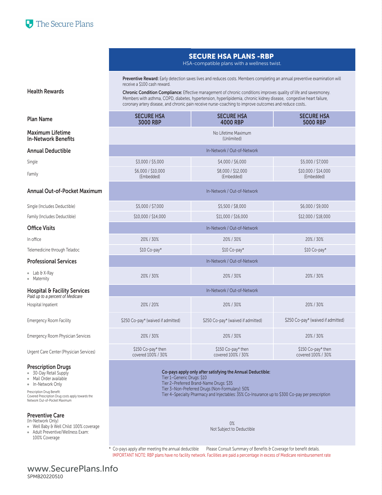### SECURE HSA PLANS -RBP

HSA-compatible plans with a wellness twist.

Preventive Reward: Early detection saves lives and reduces costs. Members completing an annual preventive examination will receive a \$100 cash reward.

Chronic Condition Compliance: Effective management of chronic conditions improves quality of life and savesmoney. Members with asthma, COPD, diabetes, hypertension, hyperlipidemia, chronic kidney disease, congestive heart failure, coronary artery disease, and chronic pain receive nurse-coaching to improve outcomes and reduce costs..

| <b>Plan Name</b>                                                            | <b>SECURE HSA</b><br>3000 RBP            | <b>SECURE HSA</b><br><b>4000 RBP</b>     | <b>SECURE HSA</b><br><b>5000 RBP</b>     |  |  |  |
|-----------------------------------------------------------------------------|------------------------------------------|------------------------------------------|------------------------------------------|--|--|--|
| <b>Maximum Lifetime</b><br><b>In-Network Benefits</b>                       | No Lifetime Maximum<br>(Unlimited)       |                                          |                                          |  |  |  |
| <b>Annual Deductible</b>                                                    |                                          | In-Network / Out-of-Network              |                                          |  |  |  |
| Single                                                                      | \$3,000 / \$5,000                        | \$4,000 / \$6,000                        | \$5,000 / \$7,000                        |  |  |  |
| Family                                                                      | \$6,000 / \$10,000<br>(Embedded)         | \$8,000 / \$12,000<br>(Embedded)         | \$10,000 / \$14,000<br>(Embedded)        |  |  |  |
| Annual Out-of-Pocket Maximum                                                | In-Network / Out-of-Network              |                                          |                                          |  |  |  |
| Single (Includes Deductible)                                                | \$5,000 / \$7,000                        | \$5,500 / \$8,000                        | \$6,000 / \$9,000                        |  |  |  |
| Family (Includes Deductible)                                                | \$10,000 / \$14,000                      | \$11,000 / \$16,000                      | \$12,000 / \$18,000                      |  |  |  |
| <b>Office Visits</b>                                                        | In-Network / Out-of-Network              |                                          |                                          |  |  |  |
| In office                                                                   | 20% / 30%<br>20%/30%                     |                                          | 20% / 30%                                |  |  |  |
| Telemedicine through Teladoc                                                | \$10 Co-pay*                             | $$10$ Co-pay*                            | \$10 Co-pay*                             |  |  |  |
| <b>Professional Services</b>                                                | In-Network / Out-of-Network              |                                          |                                          |  |  |  |
| • Lab & X-Ray<br>· Maternity                                                | 20% / 30%<br>20%/30%                     |                                          | 20% / 30%                                |  |  |  |
| <b>Hospital &amp; Facility Services</b><br>Paid up to a percent of Medicare | In-Network / Out-of-Network              |                                          |                                          |  |  |  |
| Hospital Inpatient                                                          | 20% / 20%                                | 20% / 30%                                | 20% / 30%                                |  |  |  |
| <b>Emergency Room Facility</b>                                              | \$250 Co-pay* (waived if admitted)       | \$250 Co-pay* (waived if admitted)       | \$250 Co-pay* (waived if admitted)       |  |  |  |
| <b>Emergency Room Physician Services</b>                                    | 20% / 30%                                | 20%/30%                                  | 20% / 30%                                |  |  |  |
| Urgent Care Center (Physician Services)                                     | \$150 Co-pay* then<br>covered 100% / 30% | \$150 Co-pay* then<br>covered 100% / 30% | \$150 Co-pay* then<br>covered 100% / 30% |  |  |  |

Co-pays apply only after satisfying the Annual Deductible:

Tier 1–Generic Drugs: \$10

Tier 2–Preferred Brand-Name Drugs: \$35

Tier 3–Non-Preferred Drugs (Non-Formulary): 50%

Tier 4–Specialty Pharmacy and Injectables: 35% Co-Insurance up to \$300 Co-pay per prescription

0% Not Subject to Deductible

\* Co-pays apply after meeting the annual deductible Please Consult Summary of Benefits & Coverage for benefit details. IMPORTANT NOTE: RBP plans have no facility network. Facilities are paid a percentage in excess of Medicare reimbursement rate

### Health Rewards

- $\bullet$  Lab & X-
- 

### Paid up to a

### Prescription Drugs

- 30-Day Retail Supply
- Mail Order available
- In-Network Only

Prescription Drug Benefit: Covered Prescription Drug costs apply towards the Network Out-of-Pocket Maximum

### Preventive Care

- (In-Network Only)
- Well Baby & Well Child: 100% coverage
- Adult Preventive/Wellness Exam: 100% Coverage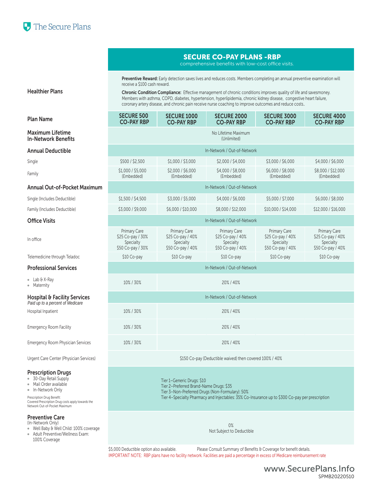

### SECURE CO-PAY PLANS -RBP

comprehensive benefits with low-cost office visits.

Preventive Reward: Early detection saves lives and reduces costs. Members completing an annual preventive examination will receive a \$100 cash reward.

Chronic Condition Compliance: Effective management of chronic conditions improves quality of life and savesmoney. Members with asthma, COPD, diabetes, hypertension, hyperlipidemia, chronic kidney disease, congestive heart failure, coronary artery disease, and chronic pain receive nurse coaching to improve outcomes and reduce costs..

| <b>Plan Name</b>                                                            | <b>SECURE 500</b><br><b>CO-PAY RBP</b>                              | <b>SECURE 1000</b><br><b>CO-PAY RBP</b>                             | <b>SECURE 2000</b><br><b>CO-PAY RBP</b>                             | <b>SECURE 3000</b><br><b>CO-PAY RBP</b>                             | <b>SECURE 4000</b><br><b>CO-PAY RBP</b>                             |  |
|-----------------------------------------------------------------------------|---------------------------------------------------------------------|---------------------------------------------------------------------|---------------------------------------------------------------------|---------------------------------------------------------------------|---------------------------------------------------------------------|--|
| <b>Maximum Lifetime</b><br><b>In-Network Benefits</b>                       | No Lifetime Maximum<br>(Unlimited)                                  |                                                                     |                                                                     |                                                                     |                                                                     |  |
| <b>Annual Deductible</b>                                                    |                                                                     |                                                                     | In-Network / Out-of-Network                                         |                                                                     |                                                                     |  |
| Single                                                                      | \$500 / \$2,500                                                     | \$1,000 / \$3,000                                                   | \$2,000 / \$4,000                                                   | \$3,000 / \$6,000                                                   | \$4,000 / \$6,000                                                   |  |
| Family                                                                      | \$1,000 / \$5,000<br>(Embedded)                                     | \$2,000 / \$6,000<br>(Embedded)                                     | \$4,000 / \$8,000<br>(Embedded)                                     | \$6,000 / \$8,000<br>(Embedded)                                     | \$8,000 / \$12,000<br>(Embedded)                                    |  |
| Annual Out-of-Pocket Maximum                                                |                                                                     |                                                                     | In-Network / Out-of-Network                                         |                                                                     |                                                                     |  |
| Single (Includes Deductible)                                                | \$1,500 / \$4,500                                                   | \$3,000 / \$5,000                                                   | \$4,000 / \$6,000                                                   | \$5,000 / \$7,000                                                   | \$6,000 / \$8,000                                                   |  |
| Family (Includes Deductible)                                                | \$3,000 / \$9,000                                                   | \$6,000 / \$10,000                                                  | \$8,000 / \$12,000                                                  | \$10,000 / \$14,000                                                 | \$12,000 / \$16,000                                                 |  |
| <b>Office Visits</b>                                                        | In-Network / Out-of-Network                                         |                                                                     |                                                                     |                                                                     |                                                                     |  |
| In office                                                                   | Primary Care<br>\$25 Co-pay / 30%<br>Specialty<br>\$50 Co-pay / 30% | Primary Care<br>\$25 Co-pay / 40%<br>Specialty<br>\$50 Co-pay / 40% | Primary Care<br>\$25 Co-pay / 40%<br>Specialty<br>\$50 Co-pay / 40% | Primary Care<br>\$25 Co-pay / 40%<br>Specialty<br>\$50 Co-pay / 40% | Primary Care<br>\$25 Co-pay / 40%<br>Specialty<br>\$50 Co-pay / 40% |  |
| Telemedicine through Teladoc                                                | \$10 Co-pay                                                         | \$10 Co-pay                                                         | \$10 Co-pay                                                         | \$10 Co-pay                                                         | \$10 Co-pay                                                         |  |
| <b>Professional Services</b>                                                | In-Network / Out-of-Network                                         |                                                                     |                                                                     |                                                                     |                                                                     |  |
| $\bullet$ Lab & X-Ray<br>• Maternity                                        | 10% / 30%<br>20% / 40%                                              |                                                                     |                                                                     |                                                                     |                                                                     |  |
| <b>Hospital &amp; Facility Services</b><br>Paid up to a percent of Medicare | In-Network / Out-of-Network                                         |                                                                     |                                                                     |                                                                     |                                                                     |  |
| Hospital Inpatient                                                          | 10% / 30%<br>20% / 40%                                              |                                                                     |                                                                     |                                                                     |                                                                     |  |
| <b>Emergency Room Facility</b>                                              | 10% / 30%<br>20% / 40%                                              |                                                                     |                                                                     |                                                                     |                                                                     |  |
| <b>Emergency Room Physician Services</b>                                    | 10% / 30%<br>20% / 40%                                              |                                                                     |                                                                     |                                                                     |                                                                     |  |
| Urgent Care Center (Physician Services)                                     | \$150 Co-pay (Deductible waived) then covered 100% / 40%            |                                                                     |                                                                     |                                                                     |                                                                     |  |

Tier 1–Generic Drugs: \$10

Tier 2–Preferred Brand-Name Drugs: \$35

Tier 3–Non-Preferred Drugs (Non-Formulary): 50%

Tier 4–Specialty Pharmacy and Injectables: 35% Co-Insurance up to \$300 Co-pay per prescription

0% Not Subject to Deductible

\$5,000 Deductible option also available. Please Consult Summary of Benefits & Coverage for benefit details.

IMPORTANT NOTE: RBP plans have no facility network. Facilities are paid a percentage in excess of Medicare reimbursement rate

### Healthier Plans

### Maximum Lifetime In-Network Benefits

### Annual Deductible

### Annual Out-of-Pocket Maximum

| <b>Office Visits</b>                                                        | In-Network / Out-of-Network                                             |                                                                     |                                                                     |                                                                            |                                                                     |  |
|-----------------------------------------------------------------------------|-------------------------------------------------------------------------|---------------------------------------------------------------------|---------------------------------------------------------------------|----------------------------------------------------------------------------|---------------------------------------------------------------------|--|
| In office                                                                   | Primary Care<br>$$25$ Co-pay / $30\%$<br>Specialty<br>\$50 Co-pay / 30% | Primary Care<br>\$25 Co-pay / 40%<br>Specialty<br>\$50 Co-pay / 40% | Primary Care<br>\$25 Co-pay / 40%<br>Specialty<br>\$50 Co-pay / 40% | <b>Primary Care</b><br>\$25 Co-pay / 40%<br>Specialty<br>\$50 Co-pay / 40% | Primary Care<br>\$25 Co-pay / 40%<br>Specialty<br>\$50 Co-pay / 40% |  |
| Telemedicine through Teladoc                                                | \$10 Co-pay                                                             | \$10 Co-pay                                                         | \$10 Co-pay                                                         | \$10 Co-pay                                                                | \$10 Co-pay                                                         |  |
| <b>Professional Services</b>                                                | In-Network / Out-of-Network                                             |                                                                     |                                                                     |                                                                            |                                                                     |  |
| $\bullet$ Lab & X-Ray<br>• Maternity                                        | 10% / 30%<br>20%/40%                                                    |                                                                     |                                                                     |                                                                            |                                                                     |  |
| <b>Hospital &amp; Facility Services</b><br>Paid up to a percent of Medicare | In-Network / Out-of-Network                                             |                                                                     |                                                                     |                                                                            |                                                                     |  |
| Hospital Inpatient                                                          | 10% / 30%                                                               |                                                                     | 20%/40%                                                             |                                                                            |                                                                     |  |
| <b>Emergency Room Facility</b>                                              | 10% / 30%                                                               |                                                                     | 20%/40%                                                             |                                                                            |                                                                     |  |
| <b>Emergency Room Physician Services</b>                                    | 10% / 30%                                                               |                                                                     | 20%/40%                                                             |                                                                            |                                                                     |  |

### Prescription Drugs

- 30-Day Retail Supply
- Mail Order available
- In-Network Only

Prescription Drug Benefit: Covered Prescription Drug costs apply towards the Network Out-of-Pocket Maximum

### Preventive Care

(In-Network Only)

- Well Baby & Well Child: 100% coverage Adult Preventive/Wellness Exam:
- 100% Coverage

www.SecurePlans.Info SPMB20220510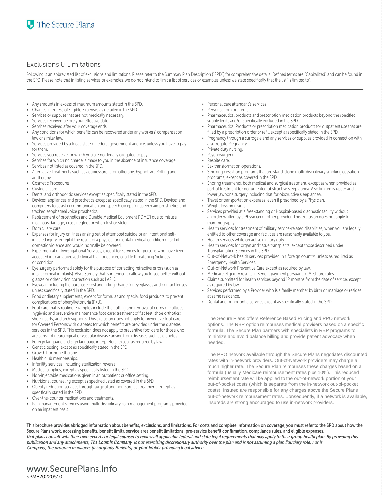### Exclusions & Limitations

Following is an abbreviated list of exclusions and limitations. Please refer to the Summary Plan Description ("SPD") for comprehensive details. Defined terms are "Capitalized" and can be found in the SPD. Please note that in listing services or examples, we do not intend to limit a list of services or examples unless we state specifically that the list "is limited to".

- Any amounts in excess of maximum amounts stated in the SPD.
- Charges in excess of Eligible Expenses as detailed in the SPD.
- Services or supplies that are not medically necessary.
- Services received before your effective date.
- Services received after your coverage ends.
- Any conditions for which benefits can be recovered under any workers' compensation law or similar law.
- Services provided by a local, state or federal government agency, unless you have to pay for them.
- Services you receive for which you are not legally obligated to pay.
- Services for which no charge is made to you in the absence of insurance coverage.
- Services not listed as covered in the SPD.
- Alternative Treatments such as acupressure, aromatherapy, hypnotism, Rolfing and art therapy.
- Cosmetic Procedures.
- Custodial care.
- Dental and orthodontic services except as specifically stated in the SPD.
- Devices, appliances and prosthetics except as specifically stated in the SPD. Devices and computers to assist in communication and speech except for speech aid prosthetics and tracheo esophageal voice prosthetics.
- Replacement of prosthetics and Durable Medical Equipment ("DME") due to misuse, malicious damage, gross neglect or when lost or stolen.
- Domiciliary care.
- Expenses for injury or illness arising out of attempted suicide or an intentional selfinflicted injury, except if the result of a physical or mental medical condition or act of domestic violence and would normally be covered.
- Experimental or Investigational Services, except for services for persons who have been accepted into an approved clinical trial for cancer, or a life threatening Sickness or condition.
- Eye surgery performed solely for the purpose of correcting refractive errors (such as intact corneal implants). Also, Surgery that is intended to allow you to see better without glasses or other vision correction such as LASIK.
- Eyewear including the purchase cost and fitting charge for eyeglasses and contact lenses unless specifically stated in the SPD.
- Food or dietary supplements, except for formulas and special food products to prevent complications of phenylketonuria (PKU).
- Foot care that is routine. Examples include the cutting and removal of corns or calluses; hygienic and preventive maintenance foot care; treatment of flat feet; shoe orthotics; shoe inserts; and arch supports. This exclusion does not apply to preventive foot care for Covered Persons with diabetes for which benefits are provided under the diabetes services in the SPD. This exclusion does not apply to preventive foot care for those who are at risk of neurological or vascular disease arising from diseases such as diabetes.
- Foreign language and sign language interpreters, except as required by law.
- Genetic testing, except as specifically stated in the SPD.
- Growth hormone therapy.
- Health club memberships.
- Infertility services (including sterilization reversal).
- Medical supplies, except as specifically listed in the SPD.
- Non-injectable medications given in an outpatient or office setting.
- Nutritional counseling except as specified listed as covered in the SPD.
- Obesity reduction services through surgical and non-surgical treatment, except as specifically stated in the SPD.
- Over-the-counter medications and treatments.
- Pain management services using multi-disciplinary pain management programs provided on an inpatient basis.
- Personal care attendant's services.
- Personal comfort items.
- Pharmaceutical products and prescription medication products beyond the specified supply limits and/or specifically excluded in the SPD.
- Pharmaceutical Products or prescription medication products for outpatient use that are filled by a prescription order or refill except as specifically stated in the SPD.
- Pregnancy through a surrogate and any services or supplies provided in connection with a surrogate Pregnancy.
- Private duty nursing.
- Psychosurgery.
- Respite care.
- Sex transformation operations.
- Smoking cessation programs that are stand-alone multi-disciplinary smoking cessation programs, except as covered in the SPD.
- Snoring treatments, both medical and surgical treatment, except as when provided as part of treatment for documented obstructive sleep apnea. Also limited is upper and lower jawbone surgery including that for obstructive sleep apnea.
- Travel or transportation expenses, even if prescribed by a Physician.
- Weight loss programs.
- Services provided at a free-standing or Hospital-based diagnostic facility without an order written by a Physician or other provider. This exclusion does not apply to mammography.
- Health services for treatment of military service-related disabilities, when you are legally entitled to other coverage and facilities are reasonably available to you.
- Health services while on active military duty.
- Health services for organ and tissue transplants, except those described under Transplantation Services in the SPD.
- Out-of-Network health services provided in a foreign country, unless as required as Emergency Health Services.
- Out-of-Network Preventive Care except as required by law.
- Medicare eligibility results in Benefit payment pursuant to Medicare rules.
- Claims submitted for health services beyond 12 months from the date of service, except as required by law.
- Services performed by a Provider who is a family member by birth or marriage or resides at same residence.
- Dental and orthodontic services except as specifically stated in the SPD.

The Secure Plans offers Reference Based Pricing and PPO network options. The RBP option reimburses medical providers based on a specific formula. The Secure Plan partners with specialists in RBP programs to minimize and avoid balance billing and provide patient advocacy when needed.

The PPO network available through the Secure Plans negotiates discounted rates with in-network providers. Out-of-Network providers may charge a much higher rate. The Secure Plan reimburses these charges based on a formula (usually Medicare reimbursement rates plus 10%). This reduced reimbursement rate will be applied to the out-of-network portion of your out-of-pocket costs (which is separate from the in-network out-of-pocket costs). Insured are responsible for any charges above the Secure Plans out-of-network reimbursement rates. Consequently, if a network is available, insureds are strong encouraged to use in-network providers.

This brochure provides abridged information about benefits, exclusions, and limitations. For costs and complete information on coverage, you must refer to the SPD about how the Secure Plans work, accessing benefits, benefit limits, service area benefit limitations, pre-service benefit confirmation, compliance rules, and eligible expenses. that plans consult with their own experts or legal counsel to review all applicable federal and state legal requirements that may apply to their group health plan. By providing this publication and any attachments, **The Loomis Company** is not exercising discretionary authority over the plan and is not assuming a plan fiduciary role, nor is Company, the program managers **(Insurgency Benefits) or your broker providing** legal advice.